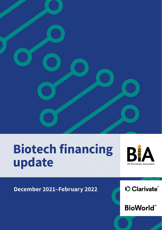

# Biotech financing update



December 2021–February 2022

Clarivate

**BioWorld**"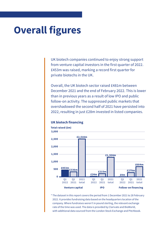# **Overall figures**

UK biotech companies continued to enjoy strong support from venture capital investors in the first quarter of 2022. £453m was raised, marking a record first quarter for private biotechs in the UK.

Overall, the UK biotech sector raised £481m between December 2021 and the end of February 2022. This is lower than in previous years as a result of low IPO and public follow-on activity. The suppressed public markets that overshadowed the second half of 2021 have persisted into 2022, resulting in just £28m invested in listed companies.



#### **UK biotech financing**

\* The dataset in this report covers the period from 1 December 2021 to 28 February 2022. It provides fundraising data based on the headquarters location of the company. Where fundraises weren't in pound sterling, the relevant exchange rate of the time was used. The data is provided by Clarivate and BioWorld, with additional data sourced from the London Stock Exchange and Pitchbook.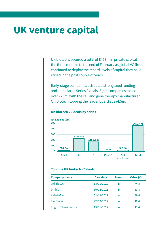## **UK venture capital**

UK biotechs secured a total of £453m in private capital in the three months to the end of February as global VC firms continued to deploy the record levels of capital they have raised in the past couple of years.

Early-stage companies attracted strong seed funding and some large Series A deals. Eight companies raised over £20m, with the cell and gene therapy manufacturer Ori Biotech topping the leader board at £74.5m.



#### **UK biotech VC deals by series**

#### **Top five UK biotech VC deals**

| <b>Company name</b>         | <b>Deal date</b> | <b>Round</b> | Value (£m) |
|-----------------------------|------------------|--------------|------------|
| Ori Biotech                 | 18/01/2022       | R            | 74.5       |
| bit.bio                     | 30/12/2021       | B            | 63.3       |
| AviadoBio                   | 02/12/2021       | А            | 59.6       |
| EyeBiotech                  | 22/02/2022       | А            | 48.4       |
| <b>Engitix Therapeutics</b> | 19/01/2022       |              | 42.4       |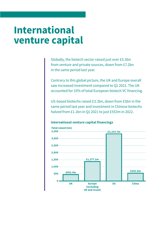## **International venture capital**

Globally, the biotech sector raised just over £5.5bn from venture and private sources, down from £7.2bn in the same period last year.

Contrary to this global picture, the UK and Europe overall saw increased investment compared to Q1 2021. The UK accounted for 33% of total European biotech VC financing.

US-based biotechs raised £3.3bn, down from £5bn in the same period last year and investment in Chinese biotechs halved from £1.1bn in Q1 2021 to just £553m in 2022.

### **International venture capital financings**

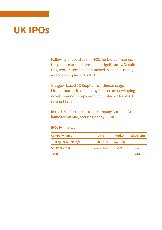## **UK IPOs**

Following a record year in 2021 for biotech listings, the public markets have cooled significantly. Despite this, two UK companies launched in what is usually a very quiet quarter for IPOs.

Glasgow-based TC Biopharm, a clinical-stage biopharmaceutical company focused on developing novel immunotherapy products, listed on NASDAQ raising £13m.

In the UK, life sciences tools company Aptamer Group launched on AIM, securing nearly £11m.

#### **IPOs by market**

| <b>Company name</b>         | <b>Date</b> | Market        | Value (£m) |
|-----------------------------|-------------|---------------|------------|
| <b>TC Biopharm Holdings</b> | 15/02/2022  | <b>NASDAO</b> | 13.0       |
| <b>Aptamer Group</b>        | 22/12/2021  | AIM           | 10.8       |
| Total                       |             |               | 23.8       |